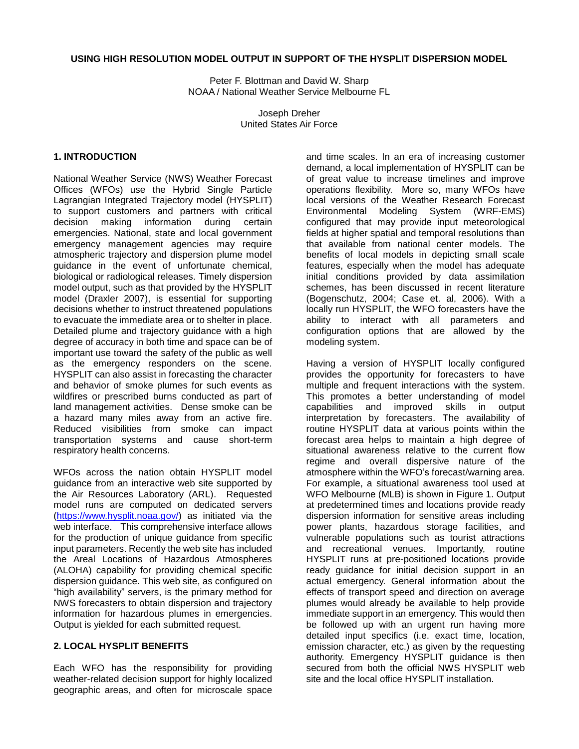# **USING HIGH RESOLUTION MODEL OUTPUT IN SUPPORT OF THE HYSPLIT DISPERSION MODEL**

Peter F. Blottman and David W. Sharp NOAA / National Weather Service Melbourne FL

> Joseph Dreher United States Air Force

### **1. INTRODUCTION**

National Weather Service (NWS) Weather Forecast Offices (WFOs) use the Hybrid Single Particle Lagrangian Integrated Trajectory model (HYSPLIT) to support customers and partners with critical decision making information during certain emergencies. National, state and local government emergency management agencies may require atmospheric trajectory and dispersion plume model guidance in the event of unfortunate chemical, biological or radiological releases. Timely dispersion model output, such as that provided by the HYSPLIT model (Draxler 2007), is essential for supporting decisions whether to instruct threatened populations to evacuate the immediate area or to shelter in place. Detailed plume and trajectory guidance with a high degree of accuracy in both time and space can be of important use toward the safety of the public as well as the emergency responders on the scene. HYSPLIT can also assist in forecasting the character and behavior of smoke plumes for such events as wildfires or prescribed burns conducted as part of land management activities. Dense smoke can be a hazard many miles away from an active fire. Reduced visibilities from smoke can impact transportation systems and cause short-term respiratory health concerns.

WFOs across the nation obtain HYSPLIT model guidance from an interactive web site supported by the Air Resources Laboratory (ARL). Requested model runs are computed on dedicated servers [\(https://www.hysplit.noaa.gov/\)](https://www.hysplit.noaa.gov/) as initiated via the web interface. This comprehensive interface allows for the production of unique guidance from specific input parameters. Recently the web site has included the Areal Locations of Hazardous Atmospheres (ALOHA) capability for providing chemical specific dispersion guidance. This web site, as configured on "high availability" servers, is the primary method for NWS forecasters to obtain dispersion and trajectory information for hazardous plumes in emergencies. Output is yielded for each submitted request.

# **2. LOCAL HYSPLIT BENEFITS**

Each WFO has the responsibility for providing weather-related decision support for highly localized geographic areas, and often for microscale space and time scales. In an era of increasing customer demand, a local implementation of HYSPLIT can be of great value to increase timelines and improve operations flexibility. More so, many WFOs have local versions of the Weather Research Forecast Environmental Modeling System (WRF-EMS) configured that may provide input meteorological fields at higher spatial and temporal resolutions than that available from national center models. The benefits of local models in depicting small scale features, especially when the model has adequate initial conditions provided by data assimilation schemes, has been discussed in recent literature (Bogenschutz, 2004; Case et. al, 2006). With a locally run HYSPLIT, the WFO forecasters have the ability to interact with all parameters and configuration options that are allowed by the modeling system.

Having a version of HYSPLIT locally configured provides the opportunity for forecasters to have multiple and frequent interactions with the system. This promotes a better understanding of model capabilities and improved skills in output interpretation by forecasters. The availability of routine HYSPLIT data at various points within the forecast area helps to maintain a high degree of situational awareness relative to the current flow regime and overall dispersive nature of the atmosphere within the WFO's forecast/warning area. For example, a situational awareness tool used at WFO Melbourne (MLB) is shown in Figure 1. Output at predetermined times and locations provide ready dispersion information for sensitive areas including power plants, hazardous storage facilities, and vulnerable populations such as tourist attractions and recreational venues. Importantly, routine HYSPLIT runs at pre-positioned locations provide ready guidance for initial decision support in an actual emergency. General information about the effects of transport speed and direction on average plumes would already be available to help provide immediate support in an emergency. This would then be followed up with an urgent run having more detailed input specifics (i.e. exact time, location, emission character, etc.) as given by the requesting authority. Emergency HYSPLIT guidance is then secured from both the official NWS HYSPLIT web site and the local office HYSPLIT installation.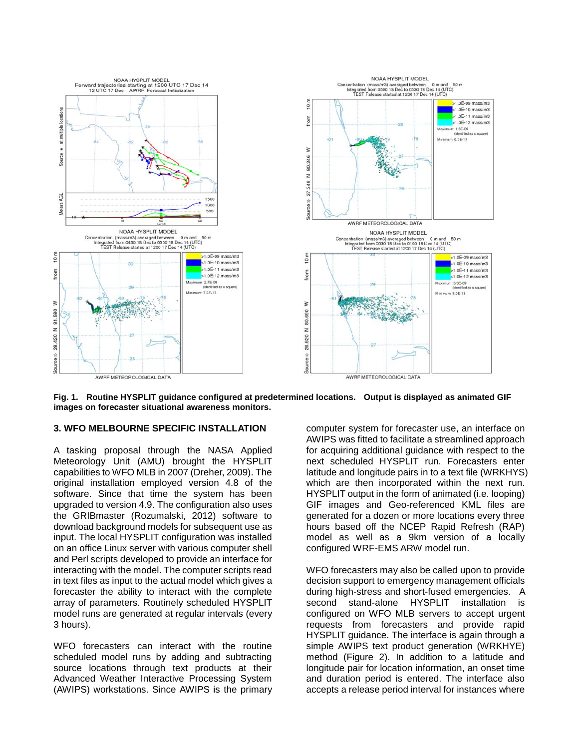

**Fig. 1. Routine HYSPLIT guidance configured at predetermined locations. Output is displayed as animated GIF images on forecaster situational awareness monitors.**

#### **3. WFO MELBOURNE SPECIFIC INSTALLATION**

A tasking proposal through the NASA Applied Meteorology Unit (AMU) brought the HYSPLIT capabilities to WFO MLB in 2007 (Dreher, 2009). The original installation employed version 4.8 of the software. Since that time the system has been upgraded to version 4.9. The configuration also uses the GRIBmaster (Rozumalski, 2012) software to download background models for subsequent use as input. The local HYSPLIT configuration was installed on an office Linux server with various computer shell and Perl scripts developed to provide an interface for interacting with the model. The computer scripts read in text files as input to the actual model which gives a forecaster the ability to interact with the complete array of parameters. Routinely scheduled HYSPLIT model runs are generated at regular intervals (every 3 hours).

WFO forecasters can interact with the routine scheduled model runs by adding and subtracting source locations through text products at their Advanced Weather Interactive Processing System (AWIPS) workstations. Since AWIPS is the primary computer system for forecaster use, an interface on AWIPS was fitted to facilitate a streamlined approach for acquiring additional guidance with respect to the next scheduled HYSPLIT run. Forecasters enter latitude and longitude pairs in to a text file (WRKHYS) which are then incorporated within the next run. HYSPLIT output in the form of animated (i.e. looping) GIF images and Geo-referenced KML files are generated for a dozen or more locations every three hours based off the NCEP Rapid Refresh (RAP) model as well as a 9km version of a locally configured WRF-EMS ARW model run.

WFO forecasters may also be called upon to provide decision support to emergency management officials during high-stress and short-fused emergencies. A second stand-alone HYSPLIT installation is configured on WFO MLB servers to accept urgent requests from forecasters and provide rapid HYSPLIT guidance. The interface is again through a simple AWIPS text product generation (WRKHYE) method (Figure 2). In addition to a latitude and longitude pair for location information, an onset time and duration period is entered. The interface also accepts a release period interval for instances where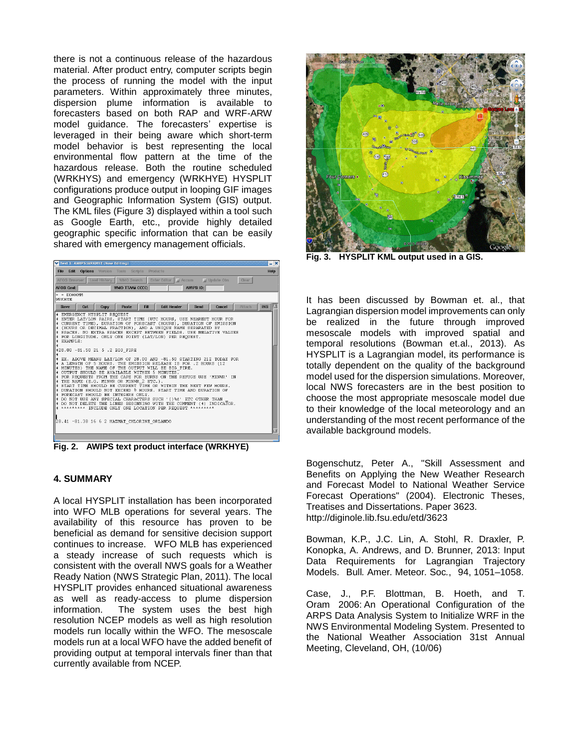there is not a continuous release of the hazardous material. After product entry, computer scripts begin the process of running the model with the input parameters. Within approximately three minutes, dispersion plume information is available to forecasters based on both RAP and WRF-ARW model guidance. The forecasters' expertise is leveraged in their being aware which short-term model behavior is best representing the local environmental flow pattern at the time of the hazardous release. Both the routine scheduled (WRKHYS) and emergency (WRKHYE) HYSPLIT configurations produce output in looping GIF images and Geographic Information System (GIS) output. The KML files (Figure 3) displayed within a tool such as Google Earth, etc., provide highly detailed geographic specific information that can be easily shared with emergency management officials.



**Fig. 2. AWIPS text product interface (WRKHYE)**

#### **4. SUMMARY**

A local HYSPLIT installation has been incorporated into WFO MLB operations for several years. The availability of this resource has proven to be beneficial as demand for sensitive decision support continues to increase. WFO MLB has experienced a steady increase of such requests which is consistent with the overall NWS goals for a Weather Ready Nation (NWS Strategic Plan, 2011). The local HYSPLIT provides enhanced situational awareness as well as ready-access to plume dispersion information. The system uses the best high resolution NCEP models as well as high resolution models run locally within the WFO. The mesoscale models run at a local WFO have the added benefit of providing output at temporal intervals finer than that currently available from NCEP.



**Fig. 3. HYSPLIT KML output used in a GIS.**

It has been discussed by Bowman et. al., that Lagrangian dispersion model improvements can only be realized in the future through improved mesoscale models with improved spatial and temporal resolutions (Bowman et.al., 2013). As HYSPLIT is a Lagrangian model, its performance is totally dependent on the quality of the background model used for the dispersion simulations. Moreover, local NWS forecasters are in the best position to choose the most appropriate mesoscale model due to their knowledge of the local meteorology and an understanding of the most recent performance of the available background models.

Bogenschutz, Peter A., "Skill Assessment and Benefits on Applying the New Weather Research and Forecast Model to National Weather Service Forecast Operations" (2004). Electronic Theses, Treatises and Dissertations. Paper 3623. http://diginole.lib.fsu.edu/etd/3623

Bowman, K.P., J.C. Lin, A. Stohl, R. Draxler, P. Konopka, A. Andrews, and D. Brunner, 2013: Input Data Requirements for Lagrangian Trajectory Models. Bull*.* Amer*.* Meteor*.* Soc*.*, 94, 1051–1058.

Case, J., P.F. Blottman, B. Hoeth, and T. Oram 2006: An Operational Configuration of the ARPS Data Analysis System to Initialize WRF in the NWS Environmental Modeling System. Presented to the National Weather Association 31st Annual Meeting, Cleveland, OH, (10/06)